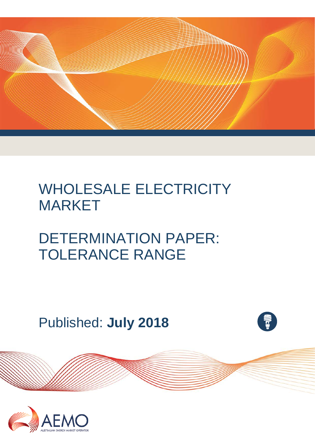

## WHOLESALE ELECTRICITY MARKET

# DETERMINATION PAPER: TOLERANCE RANGE

Published: **July 2018**

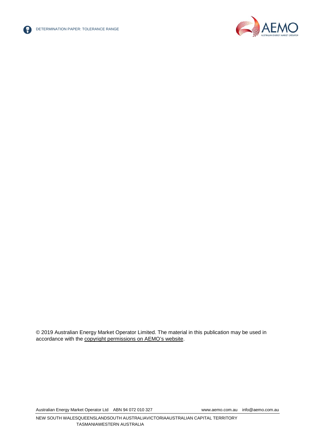



© 2019 Australian Energy Market Operator Limited. The material in this publication may be used in accordance with the [copyright permissions on AEMO's website.](http://aemo.com.au/Privacy_and_Legal_Notices/Copyright_Permissions_Notice)

Australian Energy Market Operator Ltd ABN 94 072 010 327 [www.aemo.com.au](http://www.aemo.com.au/) [info@aemo.com.au](mailto:info@aemo.com.au)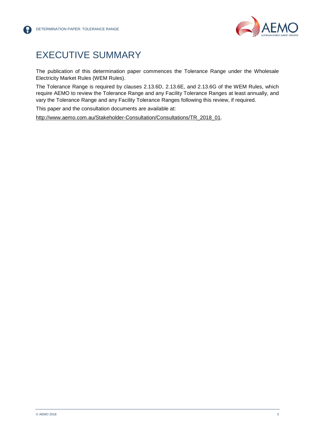

### <span id="page-2-0"></span>EXECUTIVE SUMMARY

The publication of this determination paper commences the Tolerance Range under the Wholesale Electricity Market Rules (WEM Rules).

The Tolerance Range is required by clauses 2.13.6D, 2.13.6E, and 2.13.6G of the WEM Rules, which require AEMO to review the Tolerance Range and any Facility Tolerance Ranges at least annually, and vary the Tolerance Range and any Facility Tolerance Ranges following this review, if required.

This paper and the consultation documents are available at:

[http://www.aemo.com.au/Stakeholder-Consultation/Consultations/TR\\_2018\\_01.](http://www.aemo.com.au/Stakeholder-Consultation/Consultations/TR_2018_01)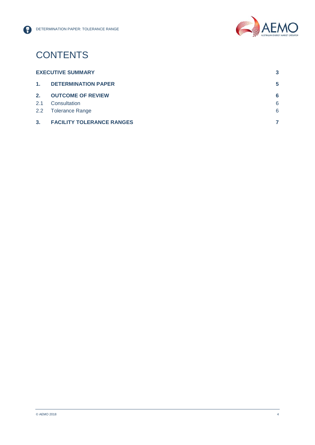

## **CONTENTS**

| <b>EXECUTIVE SUMMARY</b> |                                  |   |
|--------------------------|----------------------------------|---|
| 1.                       | <b>DETERMINATION PAPER</b>       | 5 |
| 2.                       | <b>OUTCOME OF REVIEW</b>         | 6 |
| 2.1                      | Consultation                     | 6 |
|                          | 2.2 Tolerance Range              | 6 |
| 3 <sub>1</sub>           | <b>FACILITY TOLERANCE RANGES</b> |   |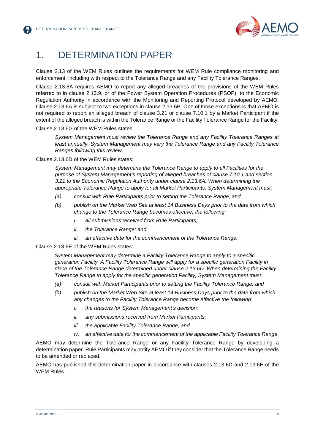

### <span id="page-4-0"></span>1. DETERMINATION PAPER

Clause 2.13 of the WEM Rules outlines the requirements for WEM Rule compliance monitoring and enforcement, including with respect to the Tolerance Range and any Facility Tolerance Ranges.

Clause 2.13.6A requires AEMO to report any alleged breaches of the provisions of the WEM Rules referred to in clause 2.13.9, or of the Power System Operation Procedures (PSOP), to the Economic Regulation Authority in accordance with the Monitoring and Reporting Protocol developed by AEMO. Clause 2.13.6A is subject to two exceptions in clause 2.13.6B. One of those exceptions is that AEMO is not required to report an alleged breach of clause 3.21 or clause 7.10.1 by a Market Participant if the extent of the alleged breach is within the Tolerance Range or the Facility Tolerance Range for the Facility.

Clause 2.13.6G of the WEM Rules states:

*System Management must review the Tolerance Range and any Facility Tolerance Ranges at least annually. System Management may vary the Tolerance Range and any Facility Tolerance Ranges following this review.*

Clause 2.13.6D of the WEM Rules states:

*System Management may determine the Tolerance Range to apply to all Facilities for the purpose of System Management's reporting of alleged breaches of clause 7.10.1 and section 3.21 to the Economic Regulation Authority under clause 2.13.6A. When determining the appropriate Tolerance Range to apply for all Market Participants, System Management must:*

- *(a) consult with Rule Participants prior to setting the Tolerance Range; and*
- *(b) publish on the Market Web Site at least 14 Business Days prior to the date from which change to the Tolerance Range becomes effective, the following:*
	- *i. all submissions received from Rule Participants;*
	- *ii. the Tolerance Range; and*
	- *iii. an effective date for the commencement of the Tolerance Range.*

#### Clause 2.13.6E of the WEM Rules states:

*System Management may determine a Facility Tolerance Range to apply to a specific generation Facility. A Facility Tolerance Range will apply for a specific generation Facility in place of the Tolerance Range determined under clause 2.13.6D. When determining the Facility Tolerance Range to apply for the specific generation Facility, System Management must:* 

- *(a) consult with Market Participants prior to setting the Facility Tolerance Range; and*
- *(b) publish on the Market Web Site at least 14 Business Days prior to the date from which any changes to the Facility Tolerance Range become effective the following:* 
	- *i. the reasons for System Management's decision;*
	- *ii. any submissions received from Market Participants;*
	- *iii. the applicable Facility Tolerance Range; and*
	- *iv. an effective date for the commencement of the applicable Facility Tolerance Range.*

AEMO may determine the Tolerance Range or any Facility Tolerance Range by developing a determination paper. Rule Participants may notify AEMO if they consider that the Tolerance Range needs to be amended or replaced.

AEMO has published this determination paper in accordance with clauses 2.13.6D and 2.13.6E of the WEM Rules.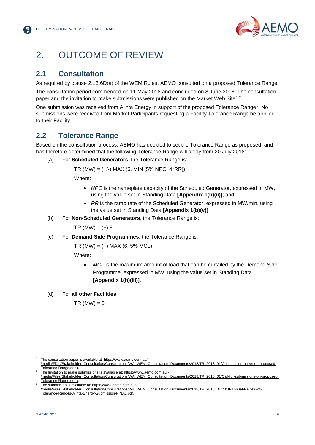

### <span id="page-5-0"></span>2. OUTCOME OF REVIEW

### <span id="page-5-1"></span>**2.1 Consultation**

As required by clause 2.13.6D(a) of the WEM Rules, AEMO consulted on a proposed Tolerance Range.

The consultation period commenced on 11 May 2018 and concluded on 8 June 2018. The consultation paper and the invitation to make submissions were published on the Market Web Site<sup>[1,](#page-5-3)[2](#page-5-4)</sup>.

One submission was received from Alinta Energy in support of the proposed Tolerance Range[3.](#page-5-5) No submissions were received from Market Participants requesting a Facility Tolerance Range be applied to their Facility.

#### <span id="page-5-2"></span>**2.2 Tolerance Range**

Based on the consultation process, AEMO has decided to set the Tolerance Range as proposed, and has therefore determined that the following Tolerance Range will apply from 20 July 2018:

(a) For **Scheduled Generators**, the Tolerance Range is:

 $TR (MW) = (+/-) MAX (6, MIN 15% NPC, 4*RR)$ 

Where:

- *NPC* is the nameplate capacity of the Scheduled Generator, expressed in MW, using the value set in Standing Data **[Appendix 1(b)(ii)]**; and
- *RR* is the ramp rate of the Scheduled Generator, expressed in MW/min, using the value set in Standing Data **[Appendix 1(b)(v)]**.
- <span id="page-5-6"></span>(b) For **Non-Scheduled Generators**, the Tolerance Range is:

 $TR (MW) = (+) 6$ 

(c) For **Demand Side Programmes**, the Tolerance Range is:

 $TR (MW) = (+) MAX (6, 5% MCL)$ 

Where:

- *MCL* is the maximum amount of load that can be curtailed by the Demand Side Programme, expressed in MW, using the value set in Standing Data **[Appendix 1(h)(iii)]**.
- (d) For **all other Facilities**:

 $TR$  (MW) = 0

<span id="page-5-3"></span> <sup>1</sup> The consultation paper is available at[: https://www.aemo.com.au/-](https://www.aemo.com.au/-/media/Files/Stakeholder_Consultation/Consultations/WA_WEM_Consultation_Documents/2018/TR_2018_01/Consultation-paper-on-proposed-Tolerance-Range.docx) [/media/Files/Stakeholder\\_Consultation/Consultations/WA\\_WEM\\_Consultation\\_Documents/2018/TR\\_2018\\_01/Consultation-paper-on-proposed-](https://www.aemo.com.au/-/media/Files/Stakeholder_Consultation/Consultations/WA_WEM_Consultation_Documents/2018/TR_2018_01/Consultation-paper-on-proposed-Tolerance-Range.docx)

<span id="page-5-4"></span>The Invitation to make submissions is available at[: https://www.aemo.com.au/-](https://www.aemo.com.au/-/media/Files/Stakeholder_Consultation/Consultations/WA_WEM_Consultation_Documents/2018/TR_2018_01/Call-for-submissions-on-proposed-Tolerance-Range.docx) /media/Files/Stakeholder\_Consultation/Consultations/WA\_WEM\_Consultation\_Documents/2018/TR\_2018\_01/Call-for-submissions-on-proposed-<br>Tolerance-Range.docx.

<span id="page-5-5"></span>The submission is available at[: https://www.aemo.com.au/-](https://www.aemo.com.au/-/media/Files/Stakeholder_Consultation/Consultations/WA_WEM_Consultation_Documents/2018/TR_2018_01/2018-Annual-Review-of-Tolerance-Ranges-Alinta-Energy-Submission-FINAL.pdf) [/media/Files/Stakeholder\\_Consultation/Consultations/WA\\_WEM\\_Consultation\\_Documents/2018/TR\\_2018\\_01/2018-Annual-Review-of-](https://www.aemo.com.au/-/media/Files/Stakeholder_Consultation/Consultations/WA_WEM_Consultation_Documents/2018/TR_2018_01/2018-Annual-Review-of-Tolerance-Ranges-Alinta-Energy-Submission-FINAL.pdf)[Tolerance-Ranges-Alinta-Energy-Submission-FINAL.pdf.](https://www.aemo.com.au/-/media/Files/Stakeholder_Consultation/Consultations/WA_WEM_Consultation_Documents/2018/TR_2018_01/2018-Annual-Review-of-Tolerance-Ranges-Alinta-Energy-Submission-FINAL.pdf)